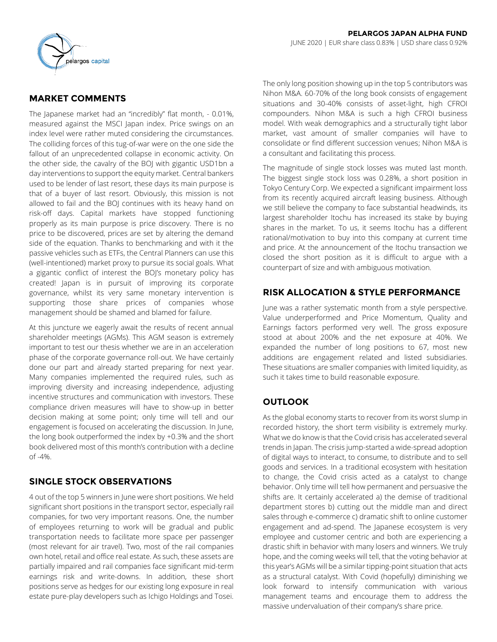

# **MARKET COMMENTS**

The Japanese market had an "incredibly" flat month, - 0.01%, measured against the MSCI Japan index. Price swings on an index level were rather muted considering the circumstances. The colliding forces of this tug-of-war were on the one side the fallout of an unprecedented collapse in economic activity. On the other side, the cavalry of the BOJ with gigantic USD1bn a day interventions to support the equity market. Central bankers used to be lender of last resort, these days its main purpose is that of a buyer of last resort. Obviously, this mission is not allowed to fail and the BOJ continues with its heavy hand on risk-off days. Capital markets have stopped functioning properly as its main purpose is price discovery. There is no price to be discovered, prices are set by altering the demand side of the equation. Thanks to benchmarking and with it the passive vehicles such as ETFs, the Central Planners can use this (well-intentioned) market proxy to pursue its social goals. What a gigantic conflict of interest the BOI's monetary policy has created! Japan is in pursuit of improving its corporate governance, whilst its very same monetary intervention is supporting those share prices of companies whose management should be shamed and blamed for failure.

At this juncture we eagerly await the results of recent annual shareholder meetings (AGMs). This AGM season is extremely important to test our thesis whether we are in an acceleration phase of the corporate governance roll-out. We have certainly done our part and already started preparing for next year. Many companies implemented the required rules, such as improving diversity and increasing independence, adjusting incentive structures and communication with investors. These compliance driven measures will have to show-up in better decision making at some point; only time will tell and our engagement is focused on accelerating the discussion. In June, the long book outperformed the index by +0.3% and the short book delivered most of this month's contribution with a decline of -4%.

# **SINGLE STOCK OBSERVATIONS**

4 out of the top 5 winners in June were short positions. We held significant short positions in the transport sector, especially rail companies, for two very important reasons. One, the number of employees returning to work will be gradual and public transportation needs to facilitate more space per passenger (most relevant for air travel). Two, most of the rail companies own hotel, retail and office real estate. As such, these assets are partially impaired and rail companies face significant mid-term earnings risk and write-downs. In addition, these short positions serve as hedges for our existing long exposure in real estate pure-play developers such as Ichigo Holdings and Tosei.

The only long position showing up in the top 5 contributors was Nihon M&A. 60-70% of the long book consists of engagement situations and 30-40% consists of asset-light, high CFROI compounders. Nihon M&A is such a high CFROI business model. With weak demographics and a structurally tight labor market, vast amount of smaller companies will have to consolidate or find different succession venues; Nihon M&A is a consultant and facilitating this process.

The magnitude of single stock losses was muted last month. The biggest single stock loss was 0.28%, a short position in Tokyo Century Corp. We expected a significant impairment loss from its recently acquired aircraft leasing business. Although we still believe the company to face substantial headwinds, its largest shareholder Itochu has increased its stake by buying shares in the market. To us, it seems Itochu has a different rational/motivation to buy into this company at current time and price. At the announcement of the Itochu transaction we closed the short position as it is difficult to argue with a counterpart of size and with ambiguous motivation.

# **RISK ALLOCATION & STYLE PERFORMANCE**

June was a rather systematic month from a style perspective. Value underperformed and Price Momentum, Quality and Earnings factors performed very well. The gross exposure stood at about 200% and the net exposure at 40%. We expanded the number of long positions to 67, most new additions are engagement related and listed subsidiaries. These situations are smaller companies with limited liquidity, as such it takes time to build reasonable exposure.

# **OUTLOOK**

As the global economy starts to recover from its worst slump in recorded history, the short term visibility is extremely murky. What we do know is that the Covid crisis has accelerated several trends in Japan. The crisis jump-started a wide-spread adoption of digital ways to interact, to consume, to distribute and to sell goods and services. In a traditional ecosystem with hesitation to change, the Covid crisis acted as a catalyst to change behavior. Only time will tell how permanent and persuasive the shifts are. It certainly accelerated a) the demise of traditional department stores b) cutting out the middle man and direct sales through e-commerce c) dramatic shift to online customer engagement and ad-spend. The Japanese ecosystem is very employee and customer centric and both are experiencing a drastic shift in behavior with many losers and winners. We truly hope, and the coming weeks will tell, that the voting behavior at this year's AGMs will be a similar tipping-point situation that acts as a structural catalyst. With Covid (hopefully) diminishing we look forward to intensify communication with various management teams and encourage them to address the massive undervaluation of their company's share price.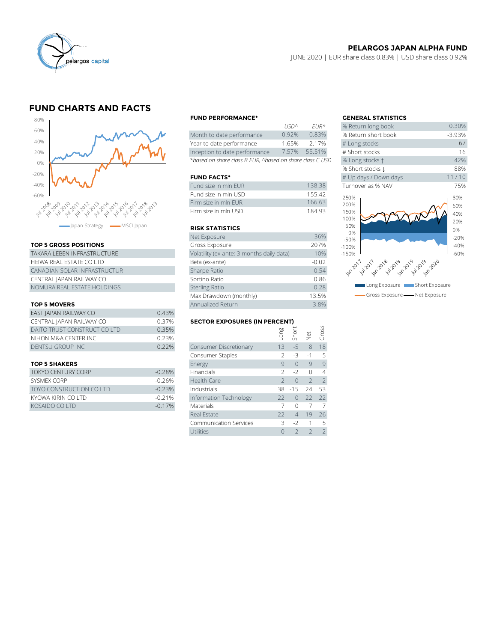

## **PELARGOS JAPAN ALPHA FUND**

JUNE 2020 | EUR share class 0.83% | USD share class 0.92%

## **FUND CHARTS AND FACTS**



### **TOP 5 GROSS POSITIONS**

| TAKARA LEBEN INFRASTRUCTURE  | Volatility (ex-ante; 3 months daily data) |
|------------------------------|-------------------------------------------|
| HEIWA REAL ESTATE CO LTD     | Beta (ex-ante)                            |
| CANADIAN SOLAR INFRASTRUCTUR | Sharpe Ratio                              |
| CENTRAL JAPAN RAILWAY CO     | Sortino Ratio                             |
| NOMURA REAL ESTATE HOLDINGS  | <b>Sterling Ratio</b>                     |

#### **TOP 5 MOVERS**

|                              |       | Max Drawdown (monthly)               |    |               | 13.5%         |           |
|------------------------------|-------|--------------------------------------|----|---------------|---------------|-----------|
| <b>TOP 5 MOVERS</b>          |       | Annualized Return                    |    | 3.8%          |               |           |
| EAST JAPAN RAILWAY CO        | 0.43% |                                      |    |               |               |           |
| CENTRAL JAPAN RAILWAY CO     | 0.37% | <b>SECTOR EXPOSURES (IN PERCENT)</b> |    |               |               |           |
| DAITO TRUST CONSTRUCT CO LTD | 0.35% |                                      |    | Long<br>Short |               | asor<br>G |
| NIHON M&A CENTER INC         | 0.23% |                                      |    |               | $\frac{1}{2}$ |           |
| <b>DENTSU GROUP INC</b>      | 0.22% | Consumer Discretionary               | 13 | $-5$          | 8             | 18        |
|                              |       | Consumer Staples                     |    |               | $-1$          | -5        |
|                              |       |                                      |    |               |               |           |

#### **TOP 5 SHAKERS**

| TOKYO CENTURY CORP       | $-0.28\%$ | <b>Financials</b>      |    | $2 - 2$      |                               | $\overline{4}$ |
|--------------------------|-----------|------------------------|----|--------------|-------------------------------|----------------|
| SYSMEX CORP              | $-0.26%$  | Health Care            |    | $2 \Omega$   | $\overline{2}$ $\overline{2}$ |                |
| TOYO CONSTRUCTION CO LTD | $-0.23%$  | Industrials            |    | 38 -15 24 53 |                               |                |
| KYOWA KIRIN CO I TD      | $-0.21%$  | Information Technology | フフ |              | $0\quad 22$                   | 22             |
| KOSAIDO CO I TD          | $-0.17%$  | <b>Materials</b>       |    |              |                               |                |

#### **FUND PERFORMANCE\* GENERAL STATISTICS**

|                                                          | 1151T           | FIJK"   | <b>20 RELUITI JULIE DUUK</b> |
|----------------------------------------------------------|-----------------|---------|------------------------------|
| Month to date performance                                | 0.92%           | 0.83%   | % Return short book          |
| Year to date performance                                 | $-1.65%$        | $-217%$ | # Long stocks                |
| Inception to date performance                            | 7.57%           | 55.51%  | # Short stocks               |
| *based on share class B EUR, ^based on share class C USD | % Long stocks 1 |         |                              |

#### **FUND FACTS\***

| Fund size in mln FUR | 138.38 | Turnover as % NAV |
|----------------------|--------|-------------------|
| Fund size in mln USD | 155.42 | 250%              |
| Firm size in mln FUR | 166.63 | 200%              |
| Firm size in mln USD | 18493  | 150%              |

#### **RISK STATISTICS**

| Net Exposure                              | 36%     |
|-------------------------------------------|---------|
| Gross Exposure                            | 207%    |
| Volatility (ex-ante; 3 months daily data) | 10%     |
| Beta (ex-ante)                            | $-0.02$ |
| Sharpe Ratio                              | 0.54    |
| Sortino Ratio                             | 0.86    |
| <b>Sterling Ratio</b>                     | 0.28    |
| Max Drawdown (monthly)                    | 13.5%   |
| Annualized Return                         | 3.8%    |

#### **SECTOR EXPOSURES (IN PERCENT)**

| DAITO TRUST CONSTRUCT CO LTD | 0.35%    |                               | Long | Short     |                | Gross          |
|------------------------------|----------|-------------------------------|------|-----------|----------------|----------------|
| NIHON M&A CENTER INC         | 0.23%    |                               |      |           | Net            |                |
| <b>DENTSU GROUP INC</b>      | 0.22%    | Consumer Discretionary        | 13   | $-5$      | 8              | 18             |
|                              |          | Consumer Staples              |      | -3        | $-1$           | -5             |
| <b>TOP 5 SHAKERS</b>         |          | Energy                        | 9    | $\Omega$  | 9              | 9              |
| TOKYO CENTURY CORP           | $-0.28%$ | Financials                    |      | $-2$      | $\Omega$       | $\overline{4}$ |
| SYSMEX CORP                  | $-0.26%$ | <b>Health Care</b>            |      | $\Omega$  | $\overline{2}$ | $\sqrt{2}$     |
| TOYO CONSTRUCTION CO LTD     | $-0.23%$ | Industrials                   | 38.  | $-15$     | 24             | 53             |
| KYOWA KIRIN CO LTD           | $-0.21%$ | Information Technology        | 22   | $\bigcap$ | 22             | 22             |
| KOSAIDO CO LTD               | $-0.17%$ | Materials                     |      | $\Omega$  |                |                |
|                              |          | Real Estate                   | 22   | $-4$      | 19             | 26             |
|                              |          | <b>Communication Services</b> | 3    | $-2$      |                | 5              |
|                              |          | Utilities                     |      | $-2$      | $-2$           | $\overline{2}$ |

|          |                      | <b>GENERAL STATISTICS</b>               |          |
|----------|----------------------|-----------------------------------------|----------|
| USD^     | $EUR*$               | % Return long book                      | 0.30%    |
| 0.92%    | 0.83%                | % Return short book                     | $-3.93%$ |
| $-1.65%$ | $-2.17%$             | # Long stocks                           | 67       |
| 7.57%    | 55.51%               | # Short stocks                          | 16       |
|          | on share class C USD | % Long stocks 1                         | 42%      |
|          |                      | % Short stocks $\downarrow$             | 88%      |
|          |                      | # Up days / Down days                   | 11/10    |
|          | 138.38               | Turnover as % NAV                       | 75%      |
|          | 155.42               | 250%                                    | 80%      |
|          | 166.63               | 200%                                    | 60%      |
|          | 184.93               | 150%                                    | 40%      |
|          |                      | 100%                                    | 20%      |
|          |                      | 50%                                     | 0%       |
|          | 36%                  | 0%<br>$-50%$                            | $-20%$   |
|          | 207%                 | $-100%$                                 | $-40%$   |
| ata)     | 10%                  | $-150%$                                 | $-60%$   |
|          | $-0.02$              |                                         |          |
|          | 0.54                 | 1872-1972-1978-1978-1979-1978-1979      |          |
|          | 0.86                 |                                         |          |
|          | 0.28                 | Long Exposure <b>The Short Exposure</b> |          |
|          | 13.5%                | Gross Exposure - Net Exposure           |          |
|          |                      |                                         |          |